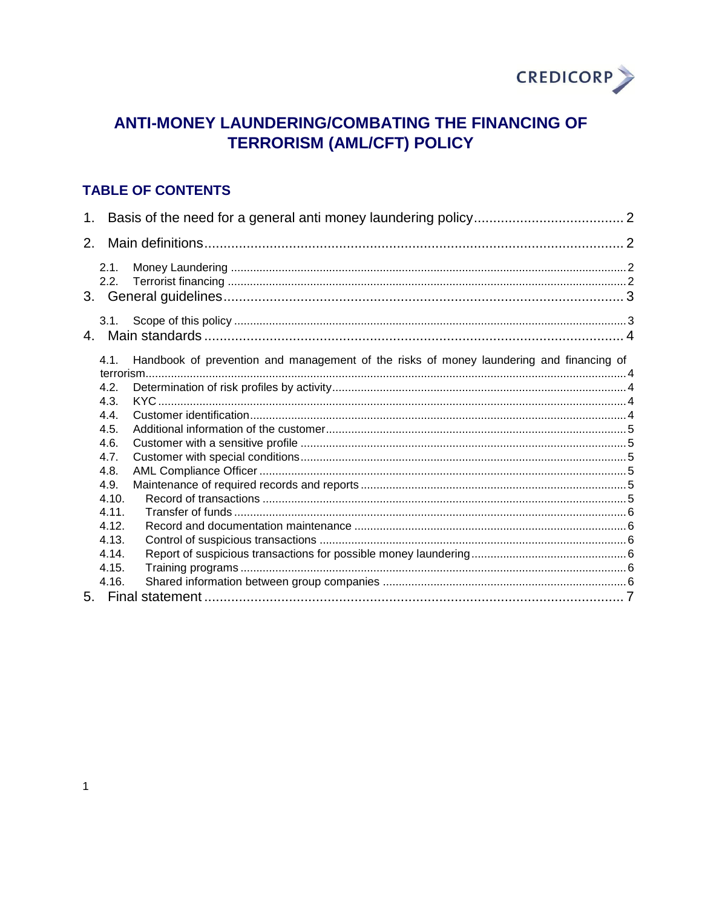

# ANTI-MONEY LAUNDERING/COMBATING THE FINANCING OF **TERRORISM (AML/CFT) POLICY**

## **TABLE OF CONTENTS**

| $\mathbf 1$ .  |                                                                                         |  |
|----------------|-----------------------------------------------------------------------------------------|--|
| 2 <sub>1</sub> |                                                                                         |  |
| 2.1.           |                                                                                         |  |
| 2.2.           |                                                                                         |  |
|                |                                                                                         |  |
|                |                                                                                         |  |
| 4.1.           | Handbook of prevention and management of the risks of money laundering and financing of |  |
| 4.2.           |                                                                                         |  |
| 4.3.<br>4.4.   |                                                                                         |  |
| 4.5.           |                                                                                         |  |
| 4.6.           |                                                                                         |  |
| 4.7.<br>4.8.   |                                                                                         |  |
| 4.9.           |                                                                                         |  |
| 4.10.<br>4.11. |                                                                                         |  |
| 4.12.          |                                                                                         |  |
| 4.13.          |                                                                                         |  |
| 4.14.<br>4.15. |                                                                                         |  |
| 4.16.          |                                                                                         |  |
|                |                                                                                         |  |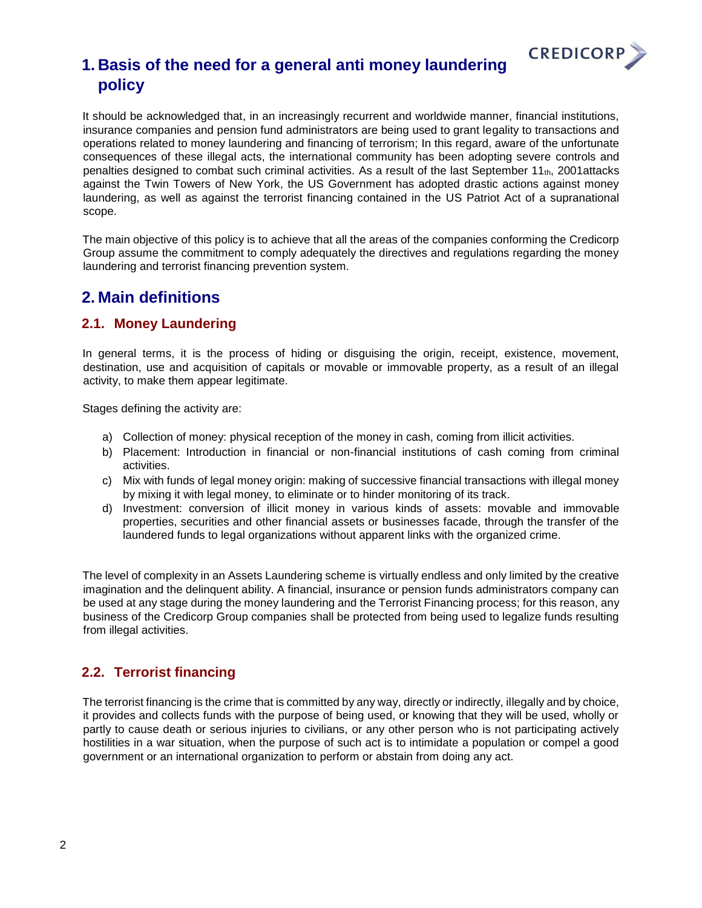

# <span id="page-1-0"></span>**1. Basis of the need for a general anti money laundering policy**

It should be acknowledged that, in an increasingly recurrent and worldwide manner, financial institutions, insurance companies and pension fund administrators are being used to grant legality to transactions and operations related to money laundering and financing of terrorism; In this regard, aware of the unfortunate consequences of these illegal acts, the international community has been adopting severe controls and penalties designed to combat such criminal activities. As a result of the last September  $11<sub>th</sub>$ , 2001attacks against the Twin Towers of New York, the US Government has adopted drastic actions against money laundering, as well as against the terrorist financing contained in the US Patriot Act of a supranational scope.

The main objective of this policy is to achieve that all the areas of the companies conforming the Credicorp Group assume the commitment to comply adequately the directives and regulations regarding the money laundering and terrorist financing prevention system.

## <span id="page-1-1"></span>**2. Main definitions**

### <span id="page-1-2"></span>**2.1. Money Laundering**

In general terms, it is the process of hiding or disquising the origin, receipt, existence, movement, destination, use and acquisition of capitals or movable or immovable property, as a result of an illegal activity, to make them appear legitimate.

Stages defining the activity are:

- a) Collection of money: physical reception of the money in cash, coming from illicit activities.
- b) Placement: Introduction in financial or non-financial institutions of cash coming from criminal activities.
- c) Mix with funds of legal money origin: making of successive financial transactions with illegal money by mixing it with legal money, to eliminate or to hinder monitoring of its track.
- d) Investment: conversion of illicit money in various kinds of assets: movable and immovable properties, securities and other financial assets or businesses facade, through the transfer of the laundered funds to legal organizations without apparent links with the organized crime.

The level of complexity in an Assets Laundering scheme is virtually endless and only limited by the creative imagination and the delinquent ability. A financial, insurance or pension funds administrators company can be used at any stage during the money laundering and the Terrorist Financing process; for this reason, any business of the Credicorp Group companies shall be protected from being used to legalize funds resulting from illegal activities.

## <span id="page-1-3"></span>**2.2. Terrorist financing**

The terrorist financing is the crime that is committed by any way, directly or indirectly, illegally and by choice, it provides and collects funds with the purpose of being used, or knowing that they will be used, wholly or partly to cause death or serious injuries to civilians, or any other person who is not participating actively hostilities in a war situation, when the purpose of such act is to intimidate a population or compel a good government or an international organization to perform or abstain from doing any act.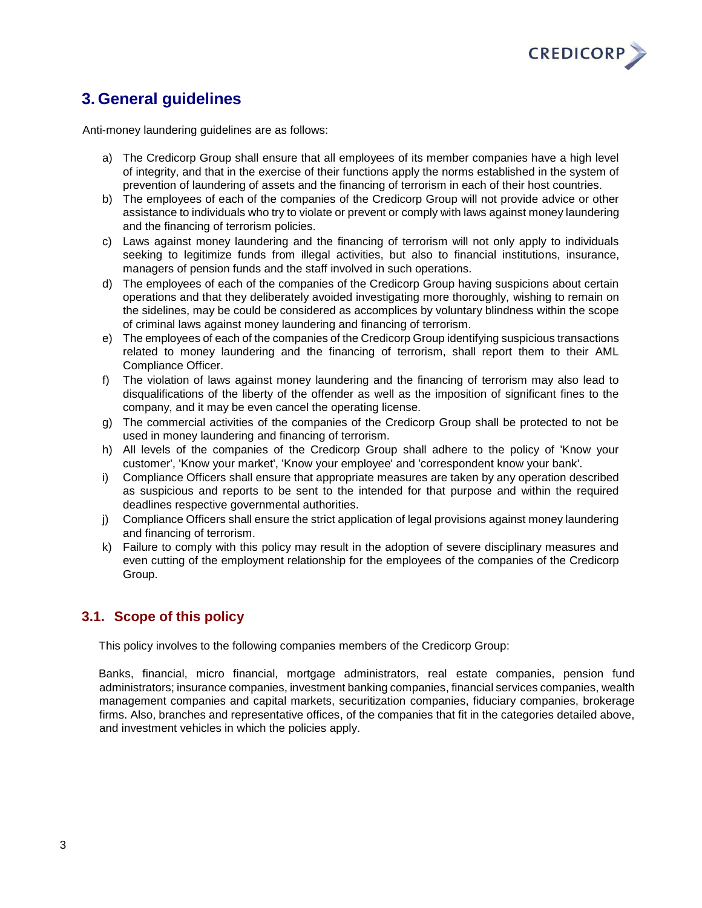

# <span id="page-2-0"></span>**3. General guidelines**

Anti-money laundering guidelines are as follows:

- a) The Credicorp Group shall ensure that all employees of its member companies have a high level of integrity, and that in the exercise of their functions apply the norms established in the system of prevention of laundering of assets and the financing of terrorism in each of their host countries.
- b) The employees of each of the companies of the Credicorp Group will not provide advice or other assistance to individuals who try to violate or prevent or comply with laws against money laundering and the financing of terrorism policies.
- c) Laws against money laundering and the financing of terrorism will not only apply to individuals seeking to legitimize funds from illegal activities, but also to financial institutions, insurance, managers of pension funds and the staff involved in such operations.
- d) The employees of each of the companies of the Credicorp Group having suspicions about certain operations and that they deliberately avoided investigating more thoroughly, wishing to remain on the sidelines, may be could be considered as accomplices by voluntary blindness within the scope of criminal laws against money laundering and financing of terrorism.
- e) The employees of each of the companies of the Credicorp Group identifying suspicious transactions related to money laundering and the financing of terrorism, shall report them to their AML Compliance Officer.
- f) The violation of laws against money laundering and the financing of terrorism may also lead to disqualifications of the liberty of the offender as well as the imposition of significant fines to the company, and it may be even cancel the operating license.
- g) The commercial activities of the companies of the Credicorp Group shall be protected to not be used in money laundering and financing of terrorism.
- h) All levels of the companies of the Credicorp Group shall adhere to the policy of 'Know your customer', 'Know your market', 'Know your employee' and 'correspondent know your bank'.
- i) Compliance Officers shall ensure that appropriate measures are taken by any operation described as suspicious and reports to be sent to the intended for that purpose and within the required deadlines respective governmental authorities.
- j) Compliance Officers shall ensure the strict application of legal provisions against money laundering and financing of terrorism.
- k) Failure to comply with this policy may result in the adoption of severe disciplinary measures and even cutting of the employment relationship for the employees of the companies of the Credicorp Group.

### <span id="page-2-1"></span>**3.1. Scope of this policy**

This policy involves to the following companies members of the Credicorp Group:

Banks, financial, micro financial, mortgage administrators, real estate companies, pension fund administrators; insurance companies, investment banking companies, financial services companies, wealth management companies and capital markets, securitization companies, fiduciary companies, brokerage firms. Also, branches and representative offices, of the companies that fit in the categories detailed above, and investment vehicles in which the policies apply.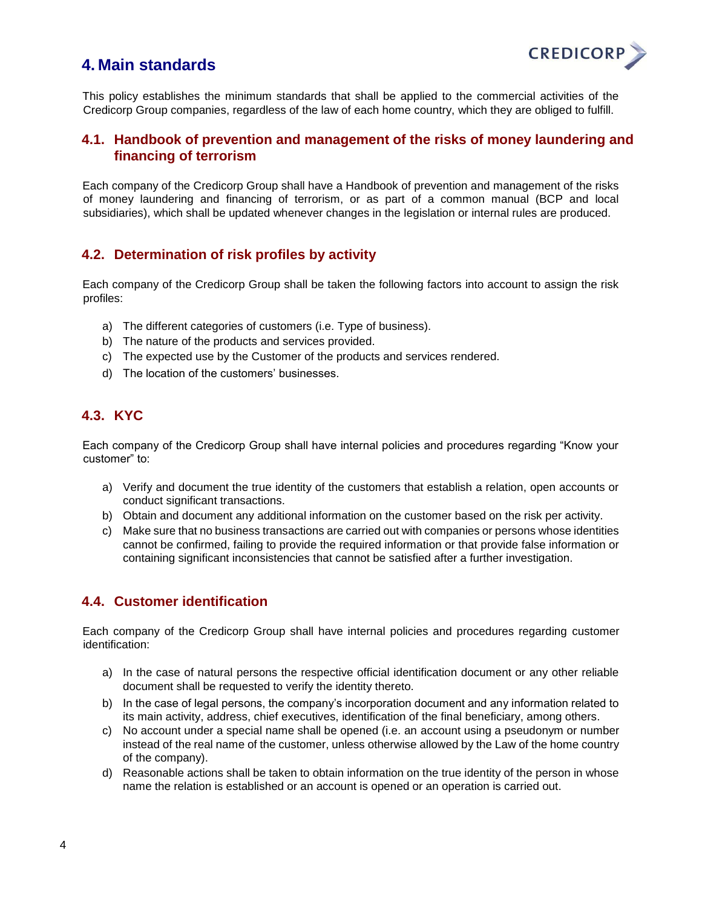## <span id="page-3-0"></span>**4. Main standards**



This policy establishes the minimum standards that shall be applied to the commercial activities of the Credicorp Group companies, regardless of the law of each home country, which they are obliged to fulfill.

#### <span id="page-3-1"></span>**4.1. Handbook of prevention and management of the risks of money laundering and financing of terrorism**

Each company of the Credicorp Group shall have a Handbook of prevention and management of the risks of money laundering and financing of terrorism, or as part of a common manual (BCP and local subsidiaries), which shall be updated whenever changes in the legislation or internal rules are produced.

#### <span id="page-3-2"></span>**4.2. Determination of risk profiles by activity**

Each company of the Credicorp Group shall be taken the following factors into account to assign the risk profiles:

- a) The different categories of customers (i.e. Type of business).
- b) The nature of the products and services provided.
- c) The expected use by the Customer of the products and services rendered.
- d) The location of the customers' businesses.

## <span id="page-3-3"></span>**4.3. KYC**

Each company of the Credicorp Group shall have internal policies and procedures regarding "Know your customer" to:

- a) Verify and document the true identity of the customers that establish a relation, open accounts or conduct significant transactions.
- b) Obtain and document any additional information on the customer based on the risk per activity.
- c) Make sure that no business transactions are carried out with companies or persons whose identities cannot be confirmed, failing to provide the required information or that provide false information or containing significant inconsistencies that cannot be satisfied after a further investigation.

#### <span id="page-3-4"></span>**4.4. Customer identification**

Each company of the Credicorp Group shall have internal policies and procedures regarding customer identification:

- a) In the case of natural persons the respective official identification document or any other reliable document shall be requested to verify the identity thereto.
- b) In the case of legal persons, the company's incorporation document and any information related to its main activity, address, chief executives, identification of the final beneficiary, among others.
- c) No account under a special name shall be opened (i.e. an account using a pseudonym or number instead of the real name of the customer, unless otherwise allowed by the Law of the home country of the company).
- d) Reasonable actions shall be taken to obtain information on the true identity of the person in whose name the relation is established or an account is opened or an operation is carried out.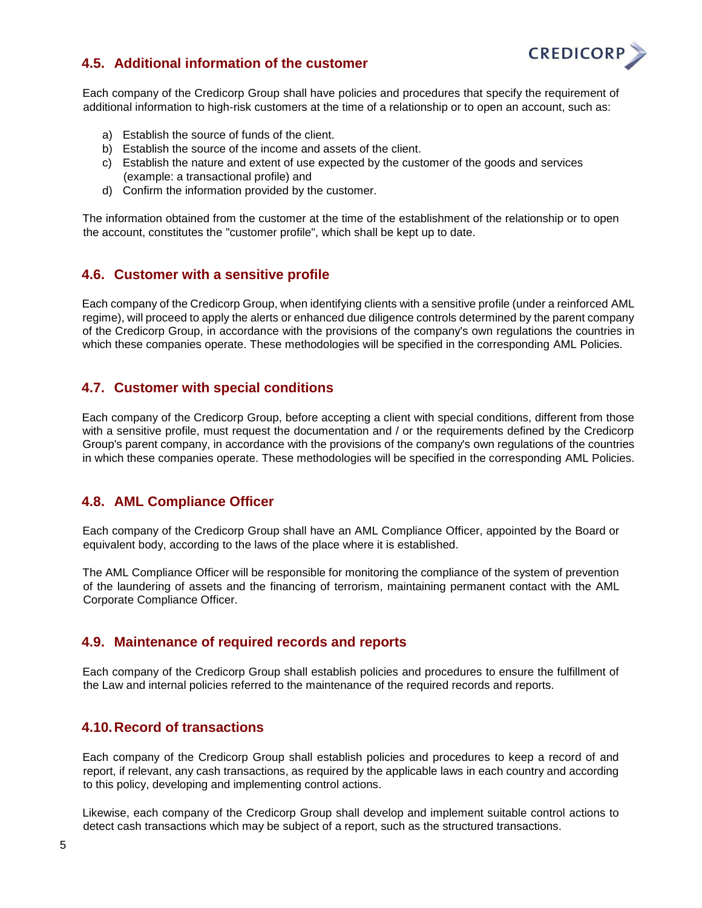

## <span id="page-4-0"></span>**4.5. Additional information of the customer**

Each company of the Credicorp Group shall have policies and procedures that specify the requirement of additional information to high-risk customers at the time of a relationship or to open an account, such as:

- a) Establish the source of funds of the client.
- b) Establish the source of the income and assets of the client.
- c) Establish the nature and extent of use expected by the customer of the goods and services (example: a transactional profile) and
- d) Confirm the information provided by the customer.

The information obtained from the customer at the time of the establishment of the relationship or to open the account, constitutes the "customer profile", which shall be kept up to date.

#### <span id="page-4-1"></span>**4.6. Customer with a sensitive profile**

Each company of the Credicorp Group, when identifying clients with a sensitive profile (under a reinforced AML regime), will proceed to apply the alerts or enhanced due diligence controls determined by the parent company of the Credicorp Group, in accordance with the provisions of the company's own regulations the countries in which these companies operate. These methodologies will be specified in the corresponding AML Policies.

#### <span id="page-4-2"></span>**4.7. Customer with special conditions**

Each company of the Credicorp Group, before accepting a client with special conditions, different from those with a sensitive profile, must request the documentation and / or the requirements defined by the Credicorp Group's parent company, in accordance with the provisions of the company's own regulations of the countries in which these companies operate. These methodologies will be specified in the corresponding AML Policies.

#### <span id="page-4-3"></span>**4.8. AML Compliance Officer**

Each company of the Credicorp Group shall have an AML Compliance Officer, appointed by the Board or equivalent body, according to the laws of the place where it is established.

The AML Compliance Officer will be responsible for monitoring the compliance of the system of prevention of the laundering of assets and the financing of terrorism, maintaining permanent contact with the AML Corporate Compliance Officer.

#### <span id="page-4-4"></span>**4.9. Maintenance of required records and reports**

Each company of the Credicorp Group shall establish policies and procedures to ensure the fulfillment of the Law and internal policies referred to the maintenance of the required records and reports.

#### <span id="page-4-5"></span>**4.10.Record of transactions**

Each company of the Credicorp Group shall establish policies and procedures to keep a record of and report, if relevant, any cash transactions, as required by the applicable laws in each country and according to this policy, developing and implementing control actions.

Likewise, each company of the Credicorp Group shall develop and implement suitable control actions to detect cash transactions which may be subject of a report, such as the structured transactions.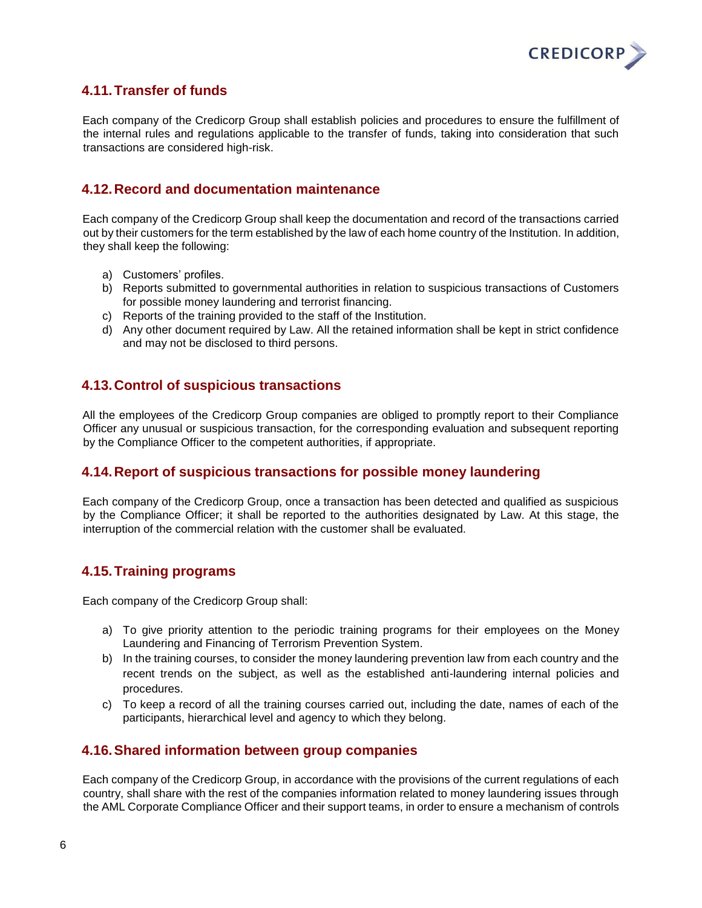

## <span id="page-5-0"></span>**4.11.Transfer of funds**

Each company of the Credicorp Group shall establish policies and procedures to ensure the fulfillment of the internal rules and regulations applicable to the transfer of funds, taking into consideration that such transactions are considered high-risk.

#### <span id="page-5-1"></span>**4.12.Record and documentation maintenance**

Each company of the Credicorp Group shall keep the documentation and record of the transactions carried out by their customers for the term established by the law of each home country of the Institution. In addition, they shall keep the following:

- a) Customers' profiles.
- b) Reports submitted to governmental authorities in relation to suspicious transactions of Customers for possible money laundering and terrorist financing.
- c) Reports of the training provided to the staff of the Institution.
- d) Any other document required by Law. All the retained information shall be kept in strict confidence and may not be disclosed to third persons.

#### <span id="page-5-2"></span>**4.13.Control of suspicious transactions**

All the employees of the Credicorp Group companies are obliged to promptly report to their Compliance Officer any unusual or suspicious transaction, for the corresponding evaluation and subsequent reporting by the Compliance Officer to the competent authorities, if appropriate.

#### <span id="page-5-3"></span>**4.14.Report of suspicious transactions for possible money laundering**

Each company of the Credicorp Group, once a transaction has been detected and qualified as suspicious by the Compliance Officer; it shall be reported to the authorities designated by Law. At this stage, the interruption of the commercial relation with the customer shall be evaluated.

#### <span id="page-5-4"></span>**4.15.Training programs**

Each company of the Credicorp Group shall:

- a) To give priority attention to the periodic training programs for their employees on the Money Laundering and Financing of Terrorism Prevention System.
- b) In the training courses, to consider the money laundering prevention law from each country and the recent trends on the subject, as well as the established anti-laundering internal policies and procedures.
- c) To keep a record of all the training courses carried out, including the date, names of each of the participants, hierarchical level and agency to which they belong.

#### <span id="page-5-5"></span>**4.16.Shared information between group companies**

Each company of the Credicorp Group, in accordance with the provisions of the current regulations of each country, shall share with the rest of the companies information related to money laundering issues through the AML Corporate Compliance Officer and their support teams, in order to ensure a mechanism of controls